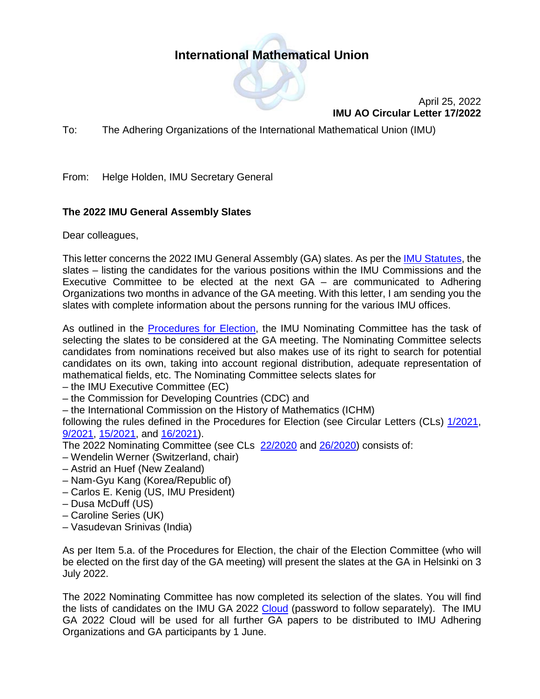## **International Mathematical Union**



April 25, 2022 **IMU AO Circular Letter 17/2022**

To: The Adhering Organizations of the International Mathematical Union (IMU)

From: Helge Holden, IMU Secretary General

## **The 2022 IMU General Assembly Slates**

Dear colleagues,

This letter concerns the 2022 IMU General Assembly (GA) slates. As per the [IMU Statutes,](https://www.mathunion.org/organization/statutes) the slates – listing the candidates for the various positions within the IMU Commissions and the Executive Committee to be elected at the next GA – are communicated to Adhering Organizations two months in advance of the GA meeting. With this letter, I am sending you the slates with complete information about the persons running for the various IMU offices.

As outlined in the [Procedures for Election,](https://www.mathunion.org/fileadmin/IMU/EC/Procedures_for_Election_2022-02-27.pdf) the IMU Nominating Committee has the task of selecting the slates to be considered at the GA meeting. The Nominating Committee selects candidates from nominations received but also makes use of its right to search for potential candidates on its own, taking into account regional distribution, adequate representation of mathematical fields, etc. The Nominating Committee selects slates for

– the IMU Executive Committee (EC)

– the Commission for Developing Countries (CDC) and

– the International Commission on the History of Mathematics (ICHM)

following the rules defined in the Procedures for Election (see Circular Letters (CLs) [1/2021,](https://www.mathunion.org/fileadmin/IMU/Publications/CircularLetters/2021/IMU%20AO%20CL%201_2021.pdf) [9/2021,](https://www.mathunion.org/fileadmin/IMU/Publications/CircularLetters/2021/IMU%20AO%20CL%209_2021.pdf) [15/2021,](https://www.mathunion.org/fileadmin/IMU/Publications/CircularLetters/2021/IMU%20AO%20CL%2015_2021.pdf) and [16/2021\)](https://www.mathunion.org/fileadmin/IMU/Publications/CircularLetters/2021/IMU%20AO%20CL%2016_2021.pdf).

The 2022 Nominating Committee (see CLs [22/2020](https://www.mathunion.org/fileadmin/IMU/Publications/CircularLetters/2019-2020/IMU%20AO%20CL%2022_2020.pdf) and [26/2020\)](https://www.mathunion.org/fileadmin/IMU/Publications/CircularLetters/2019-2020/IMU%20AO%20CL%2026_2020.pdf) consists of:

- Wendelin Werner (Switzerland, chair)
- Astrid an Huef (New Zealand)
- Nam-Gyu Kang (Korea/Republic of)
- Carlos E. Kenig (US, IMU President)
- Dusa McDuff (US)
- Caroline Series (UK)
- Vasudevan Srinivas (India)

As per Item 5.a. of the Procedures for Election, the chair of the Election Committee (who will be elected on the first day of the GA meeting) will present the slates at the GA in Helsinki on 3 July 2022.

The 2022 Nominating Committee has now completed its selection of the slates. You will find the lists of candidates on the IMU GA 2022 [Cloud](https://cloud.mathunion.org/index.php/s/nBeSFR9YaNAkWdP/authenticate/showShare) (password to follow separately). The IMU GA 2022 Cloud will be used for all further GA papers to be distributed to IMU Adhering Organizations and GA participants by 1 June.